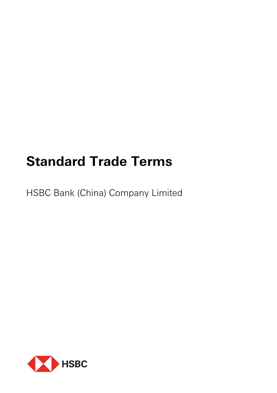# **Standard Trade Terms**

HSBC Bank (China) Company Limited

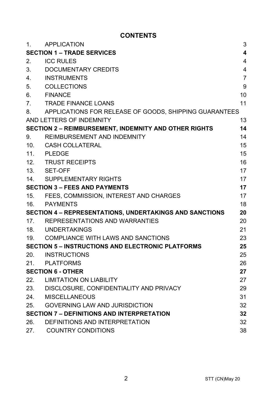# **CONTENTS**

| 1.                                                      | <b>APPLICATION</b>                                           | 3                       |
|---------------------------------------------------------|--------------------------------------------------------------|-------------------------|
| <b>SECTION 1 – TRADE SERVICES</b>                       |                                                              | $\overline{\mathbf{4}}$ |
| 2.                                                      | <b>ICC RULES</b>                                             | $\overline{4}$          |
| 3.                                                      | DOCUMENTARY CREDITS                                          | 4                       |
| 4.                                                      | <b>INSTRUMENTS</b>                                           | $\overline{7}$          |
| 5.                                                      | <b>COLLECTIONS</b>                                           | 9                       |
| 6.                                                      | <b>FINANCE</b>                                               | 10                      |
| 7.                                                      | <b>TRADE FINANCE LOANS</b>                                   | 11                      |
| 8.                                                      | APPLICATIONS FOR RELEASE OF GOODS, SHIPPING GUARANTEES       |                         |
|                                                         | AND LETTERS OF INDEMNITY                                     | 13                      |
|                                                         | <b>SECTION 2 - REIMBURSEMENT, INDEMNITY AND OTHER RIGHTS</b> | 14                      |
| 9.                                                      | REIMBURSEMENT AND INDEMNITY                                  | 14                      |
| 10.                                                     | CASH COLLATERAL                                              | 15                      |
| 11.                                                     | PLEDGE                                                       | 15                      |
|                                                         | 12. TRUST RECEIPTS                                           | 16                      |
|                                                         | 13. SET-OFF                                                  | 17                      |
| 14.                                                     | SUPPLEMENTARY RIGHTS                                         | 17                      |
| <b>SECTION 3 - FEES AND PAYMENTS</b>                    |                                                              | 17                      |
| 15.                                                     | FEES, COMMISSION, INTEREST AND CHARGES                       | 17                      |
|                                                         | 16. PAYMENTS                                                 | 18                      |
| SECTION 4 - REPRESENTATIONS, UNDERTAKINGS AND SANCTIONS |                                                              | 20                      |
|                                                         | 17. REPRESENTATIONS AND WARRANTIES                           | 20                      |
|                                                         | 18. UNDERTAKINGS                                             | 21                      |
|                                                         | 19. COMPLIANCE WITH LAWS AND SANCTIONS                       | 23                      |
|                                                         | <b>SECTION 5 - INSTRUCTIONS AND ELECTRONIC PLATFORMS</b>     | 25                      |
| 20.                                                     | INSTRUCTIONS                                                 | 25                      |
|                                                         | 21. PLATFORMS                                                | 26                      |
|                                                         | <b>SECTION 6 - OTHER</b>                                     | 27                      |
|                                                         | 22. LIMITATION ON LIABILITY                                  | 27                      |
|                                                         | 23. DISCLOSURE, CONFIDENTIALITY AND PRIVACY                  | 29                      |
| 24.                                                     | MISCELLANEOUS                                                | 31                      |
| 25.                                                     | <b>GOVERNING LAW AND JURISDICTION</b>                        | 32                      |
|                                                         | <b>SECTION 7 - DEFINITIONS AND INTERPRETATION</b>            | 32                      |
| 26.                                                     | DEFINITIONS AND INTERPRETATION                               | 32                      |
| 27.                                                     | <b>COUNTRY CONDITIONS</b>                                    | 38                      |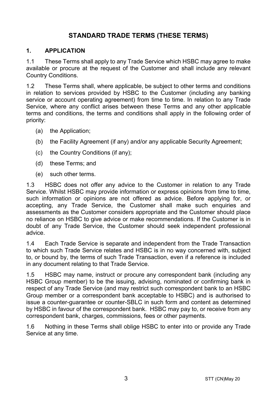# **STANDARD TRADE TERMS (THESE TERMS)**

#### **1. APPLICATION**

1.1 These Terms shall apply to any Trade Service which HSBC may agree to make available or procure at the request of the Customer and shall include any relevant Country Conditions.

1.2 These Terms shall, where applicable, be subject to other terms and conditions in relation to services provided by HSBC to the Customer (including any banking service or account operating agreement) from time to time. In relation to any Trade Service, where any conflict arises between these Terms and any other applicable terms and conditions, the terms and conditions shall apply in the following order of priority:

- (a) the Application;
- (b) the Facility Agreement (if any) and/or any applicable Security Agreement;
- (c) the Country Conditions (if any);
- (d) these Terms; and
- (e) such other terms.

1.3 HSBC does not offer any advice to the Customer in relation to any Trade Service. Whilst HSBC may provide information or express opinions from time to time, such information or opinions are not offered as advice. Before applying for, or accepting, any Trade Service, the Customer shall make such enquiries and assessments as the Customer considers appropriate and the Customer should place no reliance on HSBC to give advice or make recommendations. If the Customer is in doubt of any Trade Service, the Customer should seek independent professional advice.

1.4 Each Trade Service is separate and independent from the Trade Transaction to which such Trade Service relates and HSBC is in no way concerned with, subject to, or bound by, the terms of such Trade Transaction, even if a reference is included in any document relating to that Trade Service.

1.5 HSBC may name, instruct or procure any correspondent bank (including any HSBC Group member) to be the issuing, advising, nominated or confirming bank in respect of any Trade Service (and may restrict such correspondent bank to an HSBC Group member or a correspondent bank acceptable to HSBC) and is authorised to issue a counter-guarantee or counter-SBLC in such form and content as determined by HSBC in favour of the correspondent bank. HSBC may pay to, or receive from any correspondent bank, charges, commissions, fees or other payments.

1.6 Nothing in these Terms shall oblige HSBC to enter into or provide any Trade Service at any time.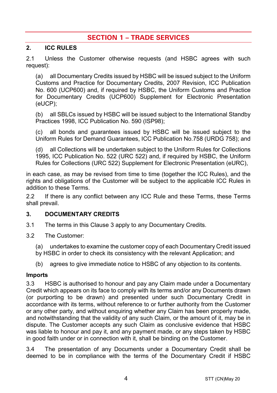# **SECTION 1 – TRADE SERVICES**

#### **2. ICC RULES**

2.1 Unless the Customer otherwise requests (and HSBC agrees with such request):

(a) all Documentary Credits issued by HSBC will be issued subject to the Uniform Customs and Practice for Documentary Credits, 2007 Revision, ICC Publication No. 600 (UCP600) and, if required by HSBC, the Uniform Customs and Practice for Documentary Credits (UCP600) Supplement for Electronic Presentation (eUCP);

(b) all SBLCs issued by HSBC will be issued subject to the International Standby Practices 1998, ICC Publication No. 590 (ISP98);

(c) all bonds and guarantees issued by HSBC will be issued subject to the Uniform Rules for Demand Guarantees, ICC Publication No.758 (URDG 758); and

(d) all Collections will be undertaken subject to the Uniform Rules for Collections 1995, ICC Publication No. 522 (URC 522) and, if required by HSBC, the Uniform Rules for Collections (URC 522) Supplement for Electronic Presentation (eURC),

in each case, as may be revised from time to time (together the ICC Rules), and the rights and obligations of the Customer will be subject to the applicable ICC Rules in addition to these Terms.

2.2 If there is any conflict between any ICC Rule and these Terms, these Terms shall prevail.

#### <span id="page-3-0"></span>**3. DOCUMENTARY CREDITS**

- 3.1 The terms in this Claus[e 3](#page-3-0) apply to any Documentary Credits.
- 3.2 The Customer:
	- (a) undertakes to examine the customer copy of each Documentary Credit issued
	- by HSBC in order to check its consistency with the relevant Application; and
	- (b) agrees to give immediate notice to HSBC of any objection to its contents.

#### **Imports**

3.3 HSBC is authorised to honour and pay any Claim made under a Documentary Credit which appears on its face to comply with its terms and/or any Documents drawn (or purporting to be drawn) and presented under such Documentary Credit in accordance with its terms, without reference to or further authority from the Customer or any other party, and without enquiring whether any Claim has been properly made, and notwithstanding that the validity of any such Claim, or the amount of it, may be in dispute. The Customer accepts any such Claim as conclusive evidence that HSBC was liable to honour and pay it, and any payment made, or any steps taken by HSBC in good faith under or in connection with it, shall be binding on the Customer.

3.4 The presentation of any Documents under a Documentary Credit shall be deemed to be in compliance with the terms of the Documentary Credit if HSBC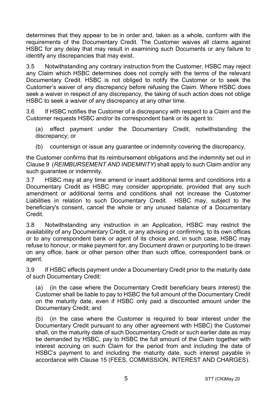determines that they appear to be in order and, taken as a whole, conform with the requirements of the Documentary Credit. The Customer waives all claims against HSBC for any delay that may result in examining such Documents or any failure to identify any discrepancies that may exist.

3.5 Notwithstanding any contrary instruction from the Customer, HSBC may reject any Claim which HSBC determines does not comply with the terms of the relevant Documentary Credit. HSBC is not obliged to notify the Customer or to seek the Customer's waiver of any discrepancy before refusing the Claim. Where HSBC does seek a waiver in respect of any discrepancy, the taking of such action does not oblige HSBC to seek a waiver of any discrepancy at any other time.

3.6 If HSBC notifies the Customer of a discrepancy with respect to a Claim and the Customer requests HSBC and/or its correspondent bank or its agent to:

(a) effect payment under the Documentary Credit, notwithstanding the discrepancy; or

(b) countersign or issue any guarantee or indemnity covering the discrepancy,

the Customer confirms that its reimbursement obligations and the indemnity set out in Claus[e 9](#page-13-0) (*[REIMBURSEMENT AND INDEMNITY](#page-13-0)*) shall apply to such Claim and/or any such guarantee or indemnity.

3.7 HSBC may at any time amend or insert additional terms and conditions into a Documentary Credit as HSBC may consider appropriate, provided that any such amendment or additional terms and conditions shall not increase the Customer Liabilities in relation to such Documentary Credit. HSBC may, subject to the beneficiary's consent, cancel the whole or any unused balance of a Documentary Credit.

3.8 Notwithstanding any instruction in an Application, HSBC may restrict the availability of any Documentary Credit, or any advising or confirming, to its own offices or to any correspondent bank or agent of its choice and, in such case, HSBC may refuse to honour, or make payment for, any Document drawn or purporting to be drawn on any office, bank or other person other than such office, correspondent bank or agent.

3.9 If HSBC effects payment under a Documentary Credit prior to the maturity date of such Documentary Credit:

(a) (in the case where the Documentary Credit beneficiary bears interest) the Customer shall be liable to pay to HSBC the full amount of the Documentary Credit on the maturity date, even if HSBC only paid a discounted amount under the Documentary Credit; and

(b) (in the case where the Customer is required to bear interest under the Documentary Credit pursuant to any other agreement with HSBC) the Customer shall, on the maturity date of such Documentary Credit or such earlier date as may be demanded by HSBC, pay to HSBC the full amount of the Claim together with interest accruing on such Claim for the period from and including the date of HSBC's payment to and including the maturity date, such interest payable in accordance with Clause [15 \(FEES, COMMISSION, INTEREST AND CHARGES\)](#page-16-0).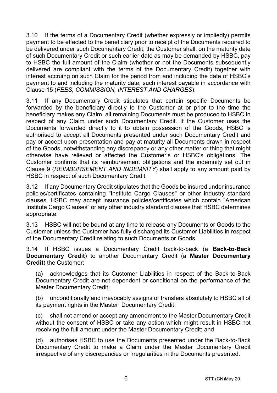3.10 If the terms of a Documentary Credit (whether expressly or impliedly) permits payment to be effected to the beneficiary prior to receipt of the Documents required to be delivered under such Documentary Credit, the Customer shall, on the maturity date of such Documentary Credit or such earlier date as may be demanded by HSBC, pay to HSBC the full amount of the Claim (whether or not the Documents subsequently delivered are compliant with the terms of the Documentary Credit) together with interest accruing on such Claim for the period from and including the date of HSBC's payment to and including the maturity date, such interest payable in accordance with Clause [15](#page-16-0) (*[FEES, COMMISSION, INTEREST AND CHARGES](#page-16-0)*).

3.11 If any Documentary Credit stipulates that certain specific Documents be forwarded by the beneficiary directly to the Customer at or prior to the time the beneficiary makes any Claim, all remaining Documents must be produced to HSBC in respect of any Claim under such Documentary Credit. If the Customer uses the Documents forwarded directly to it to obtain possession of the Goods, HSBC is authorised to accept all Documents presented under such Documentary Credit and pay or accept upon presentation and pay at maturity all Documents drawn in respect of the Goods, notwithstanding any discrepancy or any other matter or thing that might otherwise have relieved or affected the Customer's or HSBC's obligations. The Customer confirms that its reimbursement obligations and the indemnity set out in Clause [9](#page-13-0) (*[REIMBURSEMENT AND INDEMNITY](#page-13-0)*) shall apply to any amount paid by HSBC in respect of such Documentary Credit.

3.12 If any Documentary Credit stipulates that the Goods be insured under insurance policies/certificates containing "Institute Cargo Clauses" or other industry standard clauses, HSBC may accept insurance policies/certificates which contain "American Institute Cargo Clauses" or any other industry standard clauses that HSBC determines appropriate.

3.13 HSBC will not be bound at any time to release any Documents or Goods to the Customer unless the Customer has fully discharged its Customer Liabilities in respect of the Documentary Credit relating to such Documents or Goods.

<span id="page-5-0"></span>3.14 If HSBC issues a Documentary Credit back-to-back (a **Back-to-Back Documentary Credit**) to another Documentary Credit (a **Master Documentary Credit**) the Customer:

(a) acknowledges that its Customer Liabilities in respect of the Back-to-Back Documentary Credit are not dependent or conditional on the performance of the Master Documentary Credit;

(b) unconditionally and irrevocably assigns or transfers absolutely to HSBC all of its payment rights in the Master Documentary Credit;

(c) shall not amend or accept any amendment to the Master Documentary Credit without the consent of HSBC or take any action which might result in HSBC not receiving the full amount under the Master Documentary Credit; and

(d) authorises HSBC to use the Documents presented under the Back-to-Back Documentary Credit to make a Claim under the Master Documentary Credit irrespective of any discrepancies or irregularities in the Documents presented.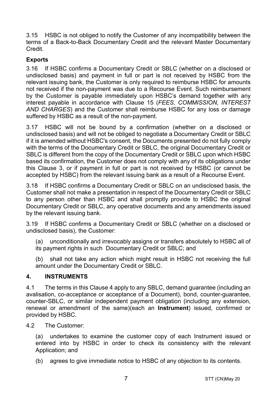3.15 HSBC is not obliged to notify the Customer of any incompatibility between the terms of a Back-to-Back Documentary Credit and the relevant Master Documentary Credit.

## **Exports**

3.16 If HSBC confirms a Documentary Credit or SBLC (whether on a disclosed or undisclosed basis) and payment in full or part is not received by HSBC from the relevant issuing bank, the Customer is only required to reimburse HSBC for amounts not received if the non-payment was due to a Recourse Event. Such reimbursement by the Customer is payable immediately upon HSBC's demand together with any interest payable in accordance with Clause [15](#page-16-0) (*[FEES, COMMISSION, INTEREST](#page-16-0)  [AND CHARGES](#page-16-0)*) and the Customer shall reimburse HSBC for any loss or damage suffered by HSBC as a result of the non-payment.

3.17 HSBC will not be bound by a confirmation (whether on a disclosed or undisclosed basis) and will not be obliged to negotiate a Documentary Credit or SBLC if it is amended without HSBC's consent, the Documents presented do not fully comply with the terms of the Documentary Credit or SBLC, the original Documentary Credit or SBLC is different from the copy of the Documentary Credit or SBLC upon which HSBC based its confirmation, the Customer does not comply with any of its obligations under this Clause [3,](#page-3-0) or if payment in full or part is not received by HSBC (or cannot be accepted by HSBC) from the relevant issuing bank as a result of a Recourse Event.

3.18 If HSBC confirms a Documentary Credit or SBLC on an undisclosed basis, the Customer shall not make a presentation in respect of the Documentary Credit or SBLC to any person other than HSBC and shall promptly provide to HSBC the original Documentary Credit or SBLC, any operative documents and any amendments issued by the relevant issuing bank.

3.19 If HSBC confirms a Documentary Credit or SBLC (whether on a disclosed or undisclosed basis), the Customer:

(a) unconditionally and irrevocably assigns or transfers absolutely to HSBC all of its payment rights in such Documentary Credit or SBLC; and

(b) shall not take any action which might result in HSBC not receiving the full amount under the Documentary Credit or SBLC.

#### <span id="page-6-0"></span>**4. INSTRUMENTS**

4.1 The terms in this Clause [4](#page-6-0) apply to any SBLC, demand guarantee (including an avalisation, co-acceptance or acceptance of a Document), bond, counter-guarantee, counter-SBLC, or similar independent payment obligation (including any extension, renewal or amendment of the same)(each an **Instrument**) issued, confirmed or provided by HSBC.

4.2 The Customer:

(a) undertakes to examine the customer copy of each Instrument issued or entered into by HSBC in order to check its consistency with the relevant Application; and

(b) agrees to give immediate notice to HSBC of any objection to its contents.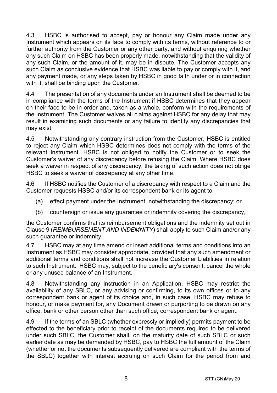4.3 HSBC is authorised to accept, pay or honour any Claim made under any Instrument which appears on its face to comply with its terms, without reference to or further authority from the Customer or any other party, and without enquiring whether any such Claim on HSBC has been properly made, notwithstanding that the validity of any such Claim, or the amount of it, may be in dispute. The Customer accepts any such Claim as conclusive evidence that HSBC was liable to pay or comply with it, and any payment made, or any steps taken by HSBC in good faith under or in connection with it, shall be binding upon the Customer.

4.4 The presentation of any documents under an Instrument shall be deemed to be in compliance with the terms of the Instrument if HSBC determines that they appear on their face to be in order and, taken as a whole, conform with the requirements of the Instrument. The Customer waives all claims against HSBC for any delay that may result in examining such documents or any failure to identify any discrepancies that may exist.

4.5 Notwithstanding any contrary instruction from the Customer, HSBC is entitled to reject any Claim which HSBC determines does not comply with the terms of the relevant Instrument. HSBC is not obliged to notify the Customer or to seek the Customer's waiver of any discrepancy before refusing the Claim. Where HSBC does seek a waiver in respect of any discrepancy, the taking of such action does not oblige HSBC to seek a waiver of discrepancy at any other time.

4.6 If HSBC notifies the Customer of a discrepancy with respect to a Claim and the Customer requests HSBC and/or its correspondent bank or its agent to:

- (a) effect payment under the Instrument, notwithstanding the discrepancy; or
- (b) countersign or issue any guarantee or indemnity covering the discrepancy,

the Customer confirms that its reimbursement obligations and the indemnity set out in Clause [9](#page-13-0) (*[REIMBURSEMENT AND INDEMNITY](#page-13-0)*) shall apply to such Claim and/or any such guarantee or indemnity.

4.7 HSBC may at any time amend or insert additional terms and conditions into an Instrument as HSBC may consider appropriate, provided that any such amendment or additional terms and conditions shall not increase the Customer Liabilities in relation to such Instrument. HSBC may, subject to the beneficiary's consent, cancel the whole or any unused balance of an Instrument.

4.8 Notwithstanding any instruction in an Application, HSBC may restrict the availability of any SBLC, or any advising or confirming, to its own offices or to any correspondent bank or agent of its choice and, in such case, HSBC may refuse to honour, or make payment for, any Document drawn or purporting to be drawn on any office, bank or other person other than such office, correspondent bank or agent.

4.9 If the terms of an SBLC (whether expressly or impliedly) permits payment to be effected to the beneficiary prior to receipt of the documents required to be delivered under such SBLC, the Customer shall, on the maturity date of such SBLC or such earlier date as may be demanded by HSBC, pay to HSBC the full amount of the Claim (whether or not the documents subsequently delivered are compliant with the terms of the SBLC) together with interest accruing on such Claim for the period from and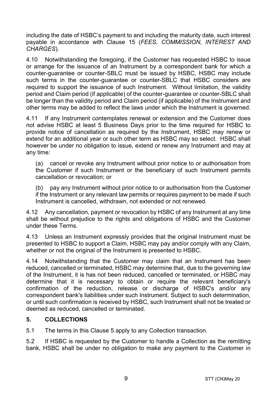including the date of HSBC's payment to and including the maturity date, such interest payable in accordance with Clause [15](#page-16-0) (*[FEES, COMMISSION, INTEREST AND](#page-16-0)  [CHARGES](#page-16-0)*).

4.10 Notwithstanding the foregoing, if the Customer has requested HSBC to issue or arrange for the issuance of an Instrument by a correspondent bank for which a counter-guarantee or counter-SBLC must be issued by HSBC, HSBC may include such terms in the counter-guarantee or counter-SBLC that HSBC considers are required to support the issuance of such Instrument. Without limitation, the validity period and Claim period (if applicable) of the counter-guarantee or counter-SBLC shall be longer than the validity period and Claim period (if applicable) of the Instrument and other terms may be added to reflect the laws under which the Instrument is governed.

4.11 If any Instrument contemplates renewal or extension and the Customer does not advise HSBC at least 5 Business Days prior to the time required for HSBC to provide notice of cancellation as required by the Instrument, HSBC may renew or extend for an additional year or such other term as HSBC may so select. HSBC shall however be under no obligation to issue, extend or renew any Instrument and may at any time:

(a) cancel or revoke any Instrument without prior notice to or authorisation from the Customer if such Instrument or the beneficiary of such Instrument permits cancellation or revocation; or

(b) pay any Instrument without prior notice to or authorisation from the Customer if the Instrument or any relevant law permits or requires payment to be made if such Instrument is cancelled, withdrawn, not extended or not renewed.

4.12 Any cancellation, payment or revocation by HSBC of any Instrument at any time shall be without prejudice to the rights and obligations of HSBC and the Customer under these Terms.

4.13 Unless an Instrument expressly provides that the original Instrument must be presented to HSBC to support a Claim, HSBC may pay and/or comply with any Claim, whether or not the original of the Instrument is presented to HSBC.

4.14 Notwithstanding that the Customer may claim that an Instrument has been reduced, cancelled or terminated, HSBC may determine that, due to the governing law of the Instrument, it is has not been reduced, cancelled or terminated, or HSBC may determine that it is necessary to obtain or require the relevant beneficiary's confirmation of the reduction, release or discharge of HSBC's and/or any correspondent bank's liabilities under such Instrument. Subject to such determination, or until such confirmation is received by HSBC, such Instrument shall not be treated or deemed as reduced, cancelled or terminated.

#### <span id="page-8-0"></span>**5. COLLECTIONS**

5.1 The terms in this Claus[e 5](#page-8-0) apply to any Collection transaction.

5.2 If HSBC is requested by the Customer to handle a Collection as the remitting bank, HSBC shall be under no obligation to make any payment to the Customer in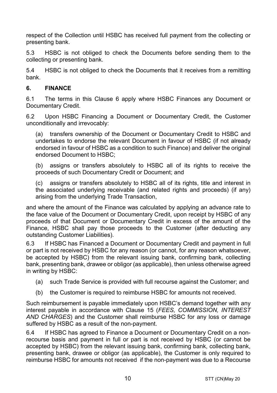respect of the Collection until HSBC has received full payment from the collecting or presenting bank.

5.3 HSBC is not obliged to check the Documents before sending them to the collecting or presenting bank.

5.4 HSBC is not obliged to check the Documents that it receives from a remitting bank.

#### <span id="page-9-0"></span>**6. FINANCE**

6.1 The terms in this Clause [6](#page-9-0) apply where HSBC Finances any Document or Documentary Credit.

6.2 Upon HSBC Financing a Document or Documentary Credit, the Customer unconditionally and irrevocably:

(a) transfers ownership of the Document or Documentary Credit to HSBC and undertakes to endorse the relevant Document in favour of HSBC (if not already endorsed in favour of HSBC as a condition to such Finance) and deliver the original endorsed Document to HSBC;

(b) assigns or transfers absolutely to HSBC all of its rights to receive the proceeds of such Documentary Credit or Document; and

(c) assigns or transfers absolutely to HSBC all of its rights, title and interest in the associated underlying receivable (and related rights and proceeds) (if any) arising from the underlying Trade Transaction,

and where the amount of the Finance was calculated by applying an advance rate to the face value of the Document or Documentary Credit, upon receipt by HSBC of any proceeds of that Document or Documentary Credit in excess of the amount of the Finance, HSBC shall pay those proceeds to the Customer (after deducting any outstanding Customer Liabilities).

6.3 If HSBC has Financed a Document or Documentary Credit and payment in full or part is not received by HSBC for any reason (or cannot, for any reason whatsoever, be accepted by HSBC) from the relevant issuing bank, confirming bank, collecting bank, presenting bank, drawee or obligor (as applicable), then unless otherwise agreed in writing by HSBC:

- (a) such Trade Service is provided with full recourse against the Customer; and
- (b) the Customer is required to reimburse HSBC for amounts not received.

Such reimbursement is payable immediately upon HSBC's demand together with any interest payable in accordance with Clause [15](#page-16-0) (*[FEES, COMMISSION, INTEREST](#page-16-0)  [AND CHARGES](#page-16-0)*) and the Customer shall reimburse HSBC for any loss or damage suffered by HSBC as a result of the non-payment.

6.4 If HSBC has agreed to Finance a Document or Documentary Credit on a nonrecourse basis and payment in full or part is not received by HSBC (or cannot be accepted by HSBC) from the relevant issuing bank, confirming bank, collecting bank, presenting bank, drawee or obligor (as applicable), the Customer is only required to reimburse HSBC for amounts not received if the non-payment was due to a Recourse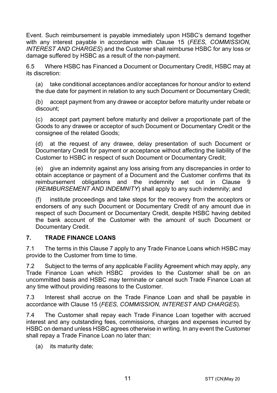Event. Such reimbursement is payable immediately upon HSBC's demand together with any interest payable in accordance with Clause [15](#page-16-0) (*[FEES, COMMISSION,](#page-16-0)  [INTEREST AND CHARGES](#page-16-0)*) and the Customer shall reimburse HSBC for any loss or damage suffered by HSBC as a result of the non-payment.

6.5 Where HSBC has Financed a Document or Documentary Credit, HSBC may at its discretion:

(a) take conditional acceptances and/or acceptances for honour and/or to extend the due date for payment in relation to any such Document or Documentary Credit;

(b) accept payment from any drawee or acceptor before maturity under rebate or discount;

(c) accept part payment before maturity and deliver a proportionate part of the Goods to any drawee or acceptor of such Document or Documentary Credit or the consignee of the related Goods;

(d) at the request of any drawee, delay presentation of such Document or Documentary Credit for payment or acceptance without affecting the liability of the Customer to HSBC in respect of such Document or Documentary Credit;

(e) give an indemnity against any loss arising from any discrepancies in order to obtain acceptance or payment of a Document and the Customer confirms that its reimbursement obligations and the indemnity set out in Clause [9](#page-13-0) (*[REIMBURSEMENT AND INDEMNITY](#page-13-0)*) shall apply to any such indemnity; and

(f) institute proceedings and take steps for the recovery from the acceptors or endorsers of any such Document or Documentary Credit of any amount due in respect of such Document or Documentary Credit, despite HSBC having debited the bank account of the Customer with the amount of such Document or Documentary Credit.

#### <span id="page-10-0"></span>**7. TRADE FINANCE LOANS**

7.1 The terms in this Clause [7](#page-10-0) apply to any Trade Finance Loans which HSBC may provide to the Customer from time to time.

7.2 Subject to the terms of any applicable Facility Agreement which may apply, any Trade Finance Loan which HSBC provides to the Customer shall be on an uncommitted basis and HSBC may terminate or cancel such Trade Finance Loan at any time without providing reasons to the Customer.

7.3 Interest shall accrue on the Trade Finance Loan and shall be payable in accordance with Clause [15](#page-16-0) (*[FEES, COMMISSION, INTEREST AND CHARGES](#page-16-0)*).

7.4 The Customer shall repay each Trade Finance Loan together with accrued interest and any outstanding fees, commissions, charges and expenses incurred by HSBC on demand unless HSBC agrees otherwise in writing. In any event the Customer shall repay a Trade Finance Loan no later than:

(a) its maturity date;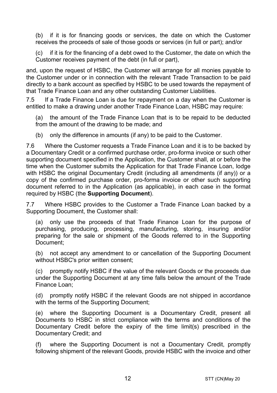(b) if it is for financing goods or services, the date on which the Customer receives the proceeds of sale of those goods or services (in full or part); and/or

(c) if it is for the financing of a debt owed to the Customer, the date on which the Customer receives payment of the debt (in full or part),

and, upon the request of HSBC, the Customer will arrange for all monies payable to the Customer under or in connection with the relevant Trade Transaction to be paid directly to a bank account as specified by HSBC to be used towards the repayment of that Trade Finance Loan and any other outstanding Customer Liabilities.

7.5 If a Trade Finance Loan is due for repayment on a day when the Customer is entitled to make a drawing under another Trade Finance Loan, HSBC may require:

(a) the amount of the Trade Finance Loan that is to be repaid to be deducted from the amount of the drawing to be made; and

(b) only the difference in amounts (if any) to be paid to the Customer.

7.6 Where the Customer requests a Trade Finance Loan and it is to be backed by a Documentary Credit or a confirmed purchase order, pro-forma invoice or such other supporting document specified in the Application, the Customer shall, at or before the time when the Customer submits the Application for that Trade Finance Loan, lodge with HSBC the original Documentary Credit (including all amendments (if any)) or a copy of the confirmed purchase order, pro-forma invoice or other such supporting document referred to in the Application (as applicable), in each case in the format required by HSBC (the **Supporting Document**).

7.7 Where HSBC provides to the Customer a Trade Finance Loan backed by a Supporting Document, the Customer shall:

(a) only use the proceeds of that Trade Finance Loan for the purpose of purchasing, producing, processing, manufacturing, storing, insuring and/or preparing for the sale or shipment of the Goods referred to in the Supporting Document;

(b) not accept any amendment to or cancellation of the Supporting Document without HSBC's prior written consent;

(c) promptly notify HSBC if the value of the relevant Goods or the proceeds due under the Supporting Document at any time falls below the amount of the Trade Finance Loan;

(d) promptly notify HSBC if the relevant Goods are not shipped in accordance with the terms of the Supporting Document;

(e) where the Supporting Document is a Documentary Credit, present all Documents to HSBC in strict compliance with the terms and conditions of the Documentary Credit before the expiry of the time limit(s) prescribed in the Documentary Credit; and

(f) where the Supporting Document is not a Documentary Credit, promptly following shipment of the relevant Goods, provide HSBC with the invoice and other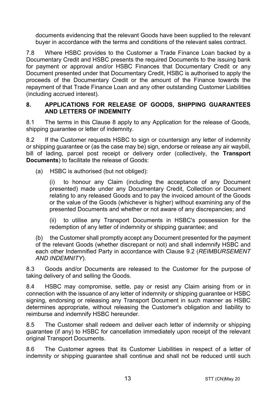documents evidencing that the relevant Goods have been supplied to the relevant buyer in accordance with the terms and conditions of the relevant sales contract.

7.8 Where HSBC provides to the Customer a Trade Finance Loan backed by a Documentary Credit and HSBC presents the required Documents to the issuing bank for payment or approval and/or HSBC Finances that Documentary Credit or any Document presented under that Documentary Credit, HSBC is authorised to apply the proceeds of the Documentary Credit or the amount of the Finance towards the repayment of that Trade Finance Loan and any other outstanding Customer Liabilities (including accrued interest).

#### <span id="page-12-0"></span>**8. APPLICATIONS FOR RELEASE OF GOODS, SHIPPING GUARANTEES AND LETTERS OF INDEMNITY**

8.1 The terms in this Clause [8](#page-12-0) apply to any Application for the release of Goods, shipping quarantee or letter of indemnity.

8.2 If the Customer requests HSBC to sign or countersign any letter of indemnity or shipping guarantee or (as the case may be) sign, endorse or release any air waybill, bill of lading, parcel post receipt or delivery order (collectively, the **Transport Documents**) to facilitate the release of Goods:

(a) HSBC is authorised (but not obliged):

(i) to honour any Claim (including the acceptance of any Document presented) made under any Documentary Credit, Collection or Document relating to any released Goods and to pay the invoiced amount of the Goods or the value of the Goods (whichever is higher) without examining any of the presented Documents and whether or not aware of any discrepancies; and

(ii) to utilise any Transport Documents in HSBC's possession for the redemption of any letter of indemnity or shipping guarantee; and

(b) the Customer shall promptly accept any Document presented for the payment of the relevant Goods (whether discrepant or not) and shall indemnify HSBC and each other Indemnified Party in accordance with Clause [9.2](#page-13-1) (*[REIMBURSEMENT](#page-13-0)  [AND INDEMNITY](#page-13-0)*).

8.3 Goods and/or Documents are released to the Customer for the purpose of taking delivery of and selling the Goods.

8.4 HSBC may compromise, settle, pay or resist any Claim arising from or in connection with the issuance of any letter of indemnity or shipping guarantee or HSBC signing, endorsing or releasing any Transport Document in such manner as HSBC determines appropriate, without releasing the Customer's obligation and liability to reimburse and indemnify HSBC hereunder.

8.5 The Customer shall redeem and deliver each letter of indemnity or shipping guarantee (if any) to HSBC for cancellation immediately upon receipt of the relevant original Transport Documents.

8.6 The Customer agrees that its Customer Liabilities in respect of a letter of indemnity or shipping guarantee shall continue and shall not be reduced until such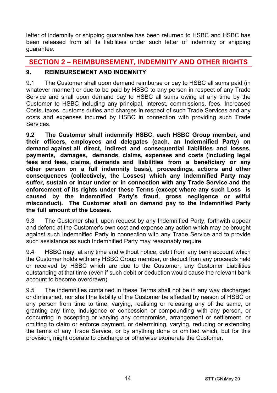letter of indemnity or shipping guarantee has been returned to HSBC and HSBC has been released from all its liabilities under such letter of indemnity or shipping guarantee.

# **SECTION 2 – REIMBURSEMENT, INDEMNITY AND OTHER RIGHTS**

## <span id="page-13-0"></span>**9. REIMBURSEMENT AND INDEMNITY**

9.1 The Customer shall upon demand reimburse or pay to HSBC all sums paid (in whatever manner) or due to be paid by HSBC to any person in respect of any Trade Service and shall upon demand pay to HSBC all sums owing at any time by the Customer to HSBC including any principal, interest, commissions, fees, Increased Costs, taxes, customs duties and charges in respect of such Trade Services and any costs and expenses incurred by HSBC in connection with providing such Trade **Services** 

<span id="page-13-1"></span>**9.2 The Customer shall indemnify HSBC, each HSBC Group member, and their officers, employees and delegates (each, an Indemnified Party) on demand against all direct, indirect and consequential liabilities and losses, payments, damages, demands, claims, expenses and costs (including legal fees and fees, claims, demands and liabilities from a beneficiary or any other person on a full indemnity basis), proceedings, actions and other consequences (collectively, the Losses) which any Indemnified Party may suffer, sustain or incur under or in connection with any Trade Service and the enforcement of its rights under these Terms (except where any such Loss is caused by the Indemnified Party's fraud, gross negligence or wilful misconduct). The Customer shall on demand pay to the Indemnified Party the full amount of the Losses.** 

9.3 The Customer shall, upon request by any Indemnified Party, forthwith appear and defend at the Customer's own cost and expense any action which may be brought against such Indemnified Party in connection with any Trade Service and to provide such assistance as such Indemnified Party may reasonably require.

9.4 HSBC may, at any time and without notice, debit from any bank account which the Customer holds with any HSBC Group member, or deduct from any proceeds held or received by HSBC which are due to the Customer, any Customer Liabilities outstanding at that time (even if such debit or deduction would cause the relevant bank account to become overdrawn).

9.5 The indemnities contained in these Terms shall not be in any way discharged or diminished, nor shall the liability of the Customer be affected by reason of HSBC or any person from time to time, varying, realising or releasing any of the same, or granting any time, indulgence or concession or compounding with any person, or concurring in accepting or varying any compromise, arrangement or settlement, or omitting to claim or enforce payment, or determining, varying, reducing or extending the terms of any Trade Service, or by anything done or omitted which, but for this provision, might operate to discharge or otherwise exonerate the Customer.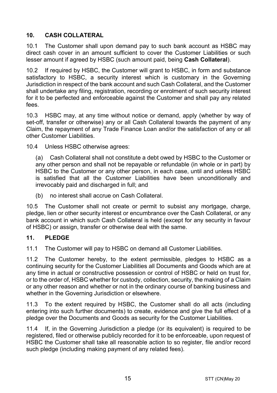# <span id="page-14-1"></span>**10. CASH COLLATERAL**

10.1 The Customer shall upon demand pay to such bank account as HSBC may direct cash cover in an amount sufficient to cover the Customer Liabilities or such lesser amount if agreed by HSBC (such amount paid, being **Cash Collateral**).

10.2 If required by HSBC, the Customer will grant to HSBC, in form and substance satisfactory to HSBC, a security interest which is customary in the Governing Jurisdiction in respect of the bank account and such Cash Collateral, and the Customer shall undertake any filing, registration, recording or enrolment of such security interest for it to be perfected and enforceable against the Customer and shall pay any related fees.

10.3 HSBC may, at any time without notice or demand, apply (whether by way of set-off, transfer or otherwise) any or all Cash Collateral towards the payment of any Claim, the repayment of any Trade Finance Loan and/or the satisfaction of any or all other Customer Liabilities.

10.4 Unless HSBC otherwise agrees:

(a) Cash Collateral shall not constitute a debt owed by HSBC to the Customer or any other person and shall not be repayable or refundable (in whole or in part) by HSBC to the Customer or any other person, in each case, until and unless HSBC is satisfied that all the Customer Liabilities have been unconditionally and irrevocably paid and discharged in full; and

(b) no interest shall accrue on Cash Collateral.

10.5 The Customer shall not create or permit to subsist any mortgage, charge, pledge, lien or other security interest or encumbrance over the Cash Collateral, or any bank account in which such Cash Collateral is held (except for any security in favour of HSBC) or assign, transfer or otherwise deal with the same.

#### <span id="page-14-0"></span>**11. PLEDGE**

11.1 The Customer will pay to HSBC on demand all Customer Liabilities.

11.2 The Customer hereby, to the extent permissible, pledges to HSBC as a continuing security for the Customer Liabilities all Documents and Goods which are at any time in actual or constructive possession or control of HSBC or held on trust for, or to the order of, HSBC whether for custody, collection, security, the making of a Claim or any other reason and whether or not in the ordinary course of banking business and whether in the Governing Jurisdiction or elsewhere.

11.3 To the extent required by HSBC, the Customer shall do all acts (including entering into such further documents) to create, evidence and give the full effect of a pledge over the Documents and Goods as security for the Customer Liabilities.

11.4 If, in the Governing Jurisdiction a pledge (or its equivalent) is required to be registered, filed or otherwise publicly recorded for it to be enforceable, upon request of HSBC the Customer shall take all reasonable action to so register, file and/or record such pledge (including making payment of any related fees).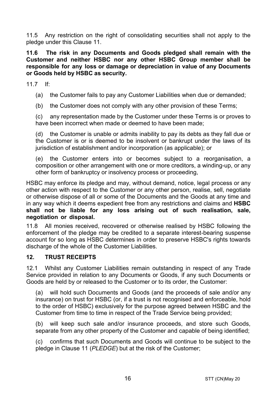11.5 Any restriction on the right of consolidating securities shall not apply to the pledge under this Clause [11.](#page-14-0) 

**11.6 The risk in any Documents and Goods pledged shall remain with the Customer and neither HSBC nor any other HSBC Group member shall be responsible for any loss or damage or depreciation in value of any Documents or Goods held by HSBC as security.** 

11.7 If:

- (a) the Customer fails to pay any Customer Liabilities when due or demanded;
- (b) the Customer does not comply with any other provision of these Terms;

(c) any representation made by the Customer under these Terms is or proves to have been incorrect when made or deemed to have been made;

(d) the Customer is unable or admits inability to pay its debts as they fall due or the Customer is or is deemed to be insolvent or bankrupt under the laws of its jurisdiction of establishment and/or incorporation (as applicable); or

(e) the Customer enters into or becomes subject to a reorganisation, a composition or other arrangement with one or more creditors, a winding-up, or any other form of bankruptcy or insolvency process or proceeding,

HSBC may enforce its pledge and may, without demand, notice, legal process or any other action with respect to the Customer or any other person, realise, sell, negotiate or otherwise dispose of all or some of the Documents and the Goods at any time and in any way which it deems expedient free from any restrictions and claims and **HSBC shall not be liable for any loss arising out of such realisation, sale, negotiation or disposal.** 

11.8 All monies received, recovered or otherwise realised by HSBC following the enforcement of the pledge may be credited to a separate interest-bearing suspense account for so long as HSBC determines in order to preserve HSBC's rights towards discharge of the whole of the Customer Liabilities.

#### **12. TRUST RECEIPTS**

12.1 Whilst any Customer Liabilities remain outstanding in respect of any Trade Service provided in relation to any Documents or Goods, if any such Documents or Goods are held by or released to the Customer or to its order, the Customer:

(a) will hold such Documents and Goods (and the proceeds of sale and/or any insurance) on trust for HSBC (or, if a trust is not recognised and enforceable, hold to the order of HSBC) exclusively for the purpose agreed between HSBC and the Customer from time to time in respect of the Trade Service being provided;

(b) will keep such sale and/or insurance proceeds, and store such Goods, separate from any other property of the Customer and capable of being identified;

(c) confirms that such Documents and Goods will continue to be subject to the pledge in Claus[e 11 \(](#page-14-0)*[PLEDGE](#page-14-0)*) but at the risk of the Customer;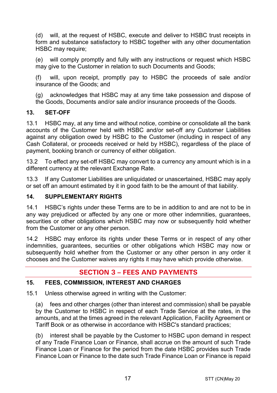(d) will, at the request of HSBC, execute and deliver to HSBC trust receipts in form and substance satisfactory to HSBC together with any other documentation HSBC may require:

(e) will comply promptly and fully with any instructions or request which HSBC may give to the Customer in relation to such Documents and Goods;

(f) will, upon receipt, promptly pay to HSBC the proceeds of sale and/or insurance of the Goods; and

(g) acknowledges that HSBC may at any time take possession and dispose of the Goods, Documents and/or sale and/or insurance proceeds of the Goods.

#### **13. SET-OFF**

13.1 HSBC may, at any time and without notice, combine or consolidate all the bank accounts of the Customer held with HSBC and/or set-off any Customer Liabilities against any obligation owed by HSBC to the Customer (including in respect of any Cash Collateral, or proceeds received or held by HSBC), regardless of the place of payment, booking branch or currency of either obligation.

13.2 To effect any set-off HSBC may convert to a currency any amount which is in a different currency at the relevant Exchange Rate.

13.3 If any Customer Liabilities are unliquidated or unascertained, HSBC may apply or set off an amount estimated by it in good faith to be the amount of that liability.

#### **14. SUPPLEMENTARY RIGHTS**

14.1 HSBC's rights under these Terms are to be in addition to and are not to be in any way prejudiced or affected by any one or more other indemnities, guarantees, securities or other obligations which HSBC may now or subsequently hold whether from the Customer or any other person.

14.2 HSBC may enforce its rights under these Terms or in respect of any other indemnities, guarantees, securities or other obligations which HSBC may now or subsequently hold whether from the Customer or any other person in any order it chooses and the Customer waives any rights it may have which provide otherwise.

# **SECTION 3 – FEES AND PAYMENTS**

#### <span id="page-16-0"></span>**15. FEES, COMMISSION, INTEREST AND CHARGES**

15.1 Unless otherwise agreed in writing with the Customer:

(a) fees and other charges (other than interest and commission) shall be payable by the Customer to HSBC in respect of each Trade Service at the rates, in the amounts, and at the times agreed in the relevant Application, Facility Agreement or Tariff Book or as otherwise in accordance with HSBC's standard practices;

(b) interest shall be payable by the Customer to HSBC upon demand in respect of any Trade Finance Loan or Finance, shall accrue on the amount of such Trade Finance Loan or Finance for the period from the date HSBC provides such Trade Finance Loan or Finance to the date such Trade Finance Loan or Finance is repaid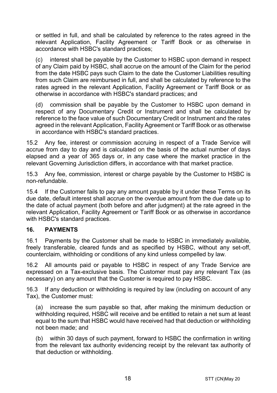or settled in full, and shall be calculated by reference to the rates agreed in the relevant Application, Facility Agreement or Tariff Book or as otherwise in accordance with HSBC's standard practices;

(c) interest shall be payable by the Customer to HSBC upon demand in respect of any Claim paid by HSBC, shall accrue on the amount of the Claim for the period from the date HSBC pays such Claim to the date the Customer Liabilities resulting from such Claim are reimbursed in full, and shall be calculated by reference to the rates agreed in the relevant Application, Facility Agreement or Tariff Book or as otherwise in accordance with HSBC's standard practices; and

(d) commission shall be payable by the Customer to HSBC upon demand in respect of any Documentary Credit or Instrument and shall be calculated by reference to the face value of such Documentary Credit or Instrument and the rates agreed in the relevant Application, Facility Agreement or Tariff Book or as otherwise in accordance with HSBC's standard practices.

15.2 Any fee, interest or commission accruing in respect of a Trade Service will accrue from day to day and is calculated on the basis of the actual number of days elapsed and a year of 365 days or, in any case where the market practice in the relevant Governing Jurisdiction differs, in accordance with that market practice.

15.3 Any fee, commission, interest or charge payable by the Customer to HSBC is non-refundable.

15.4 If the Customer fails to pay any amount payable by it under these Terms on its due date, default interest shall accrue on the overdue amount from the due date up to the date of actual payment (both before and after judgment) at the rate agreed in the relevant Application, Facility Agreement or Tariff Book or as otherwise in accordance with HSBC's standard practices.

#### **16. PAYMENTS**

16.1 Payments by the Customer shall be made to HSBC in immediately available, freely transferable, cleared funds and as specified by HSBC, without any set-off, counterclaim, withholding or conditions of any kind unless compelled by law.

16.2 All amounts paid or payable to HSBC in respect of any Trade Service are expressed on a Tax-exclusive basis. The Customer must pay any relevant Tax (as necessary) on any amount that the Customer is required to pay HSBC.

16.3 If any deduction or withholding is required by law (including on account of any Tax), the Customer must:

(a) increase the sum payable so that, after making the minimum deduction or withholding required, HSBC will receive and be entitled to retain a net sum at least equal to the sum that HSBC would have received had that deduction or withholding not been made; and

(b) within 30 days of such payment, forward to HSBC the confirmation in writing from the relevant tax authority evidencing receipt by the relevant tax authority of that deduction or withholding.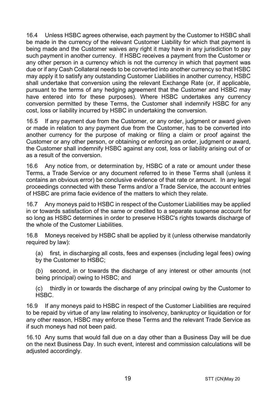16.4 Unless HSBC agrees otherwise, each payment by the Customer to HSBC shall be made in the currency of the relevant Customer Liability for which that payment is being made and the Customer waives any right it may have in any jurisdiction to pay such payment in another currency. If HSBC receives a payment from the Customer or any other person in a currency which is not the currency in which that payment was due or if any Cash Collateral needs to be converted into another currency so that HSBC may apply it to satisfy any outstanding Customer Liabilities in another currency, HSBC shall undertake that conversion using the relevant Exchange Rate (or, if applicable, pursuant to the terms of any hedging agreement that the Customer and HSBC may have entered into for these purposes). Where HSBC undertakes any currency conversion permitted by these Terms, the Customer shall indemnify HSBC for any cost, loss or liability incurred by HSBC in undertaking the conversion.

16.5 If any payment due from the Customer, or any order, judgment or award given or made in relation to any payment due from the Customer, has to be converted into another currency for the purpose of making or filing a claim or proof against the Customer or any other person, or obtaining or enforcing an order, judgment or award, the Customer shall indemnify HSBC against any cost, loss or liability arising out of or as a result of the conversion.

16.6 Any notice from, or determination by, HSBC of a rate or amount under these Terms, a Trade Service or any document referred to in these Terms shall (unless it contains an obvious error) be conclusive evidence of that rate or amount. In any legal proceedings connected with these Terms and/or a Trade Service, the account entries of HSBC are prima facie evidence of the matters to which they relate.

16.7 Any moneys paid to HSBC in respect of the Customer Liabilities may be applied in or towards satisfaction of the same or credited to a separate suspense account for so long as HSBC determines in order to preserve HSBC's rights towards discharge of the whole of the Customer Liabilities.

16.8 Moneys received by HSBC shall be applied by it (unless otherwise mandatorily required by law):

(a) first, in discharging all costs, fees and expenses (including legal fees) owing by the Customer to HSBC;

(b) second, in or towards the discharge of any interest or other amounts (not being principal) owing to HSBC; and

(c) thirdly in or towards the discharge of any principal owing by the Customer to HSBC.

16.9 If any moneys paid to HSBC in respect of the Customer Liabilities are required to be repaid by virtue of any law relating to insolvency, bankruptcy or liquidation or for any other reason, HSBC may enforce these Terms and the relevant Trade Service as if such moneys had not been paid.

16.10 Any sums that would fall due on a day other than a Business Day will be due on the next Business Day. In such event, interest and commission calculations will be adiusted accordingly.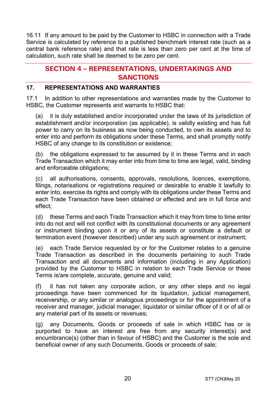16.11 If any amount to be paid by the Customer to HSBC in connection with a Trade Service is calculated by reference to a published benchmark interest rate (such as a central bank reference rate) and that rate is less than zero per cent at the time of calculation, such rate shall be deemed to be zero per cent.

# **SECTION 4 – REPRESENTATIONS, UNDERTAKINGS AND SANCTIONS**

#### **17. REPRESENTATIONS AND WARRANTIES**

17.1 In addition to other representations and warranties made by the Customer to HSBC, the Customer represents and warrants to HSBC that:

(a) it is duly established and/or incorporated under the laws of its jurisdiction of establishment and/or incorporation (as applicable), is validly existing and has full power to carry on its business as now being conducted, to own its assets and to enter into and perform its obligations under these Terms, and shall promptly notify HSBC of any change to its constitution or existence;

(b) the obligations expressed to be assumed by it in these Terms and in each Trade Transaction which it may enter into from time to time are legal, valid, binding and enforceable obligations;

(c) all authorisations, consents, approvals, resolutions, licences, exemptions, filings, notarisations or registrations required or desirable to enable it lawfully to enter into, exercise its rights and comply with its obligations under these Terms and each Trade Transaction have been obtained or effected and are in full force and effect;

(d) these Terms and each Trade Transaction which it may from time to time enter into do not and will not conflict with its constitutional documents or any agreement or instrument binding upon it or any of its assets or constitute a default or termination event (however described) under any such agreement or instrument;

(e) each Trade Service requested by or for the Customer relates to a genuine Trade Transaction as described in the documents pertaining to such Trade Transaction and all documents and information (including in any Application) provided by the Customer to HSBC in relation to each Trade Service or these Terms is/are complete, accurate, genuine and valid;

(f) it has not taken any corporate action, or any other steps and no legal proceedings have been commenced for its liquidation, judicial management, receivership, or any similar or analogous proceedings or for the appointment of a receiver and manager, judicial manager, liquidator or similar officer of it or of all or any material part of its assets or revenues;

(g) any Documents, Goods or proceeds of sale in which HSBC has or is purported to have an interest are free from any security interest(s) and encumbrance(s) (other than in favour of HSBC) and the Customer is the sole and beneficial owner of any such Documents, Goods or proceeds of sale;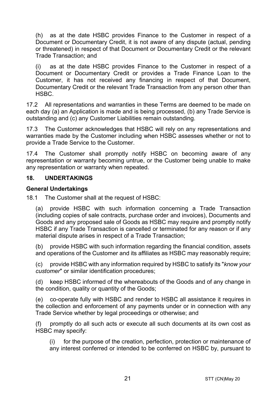(h) as at the date HSBC provides Finance to the Customer in respect of a Document or Documentary Credit, it is not aware of any dispute (actual, pending or threatened) in respect of that Document or Documentary Credit or the relevant Trade Transaction; and

(i) as at the date HSBC provides Finance to the Customer in respect of a Document or Documentary Credit or provides a Trade Finance Loan to the Customer, it has not received any financing in respect of that Document, Documentary Credit or the relevant Trade Transaction from any person other than HSBC.

17.2 All representations and warranties in these Terms are deemed to be made on each day (a) an Application is made and is being processed, (b) any Trade Service is outstanding and (c) any Customer Liabilities remain outstanding.

17.3 The Customer acknowledges that HSBC will rely on any representations and warranties made by the Customer including when HSBC assesses whether or not to provide a Trade Service to the Customer.

17.4 The Customer shall promptly notify HSBC on becoming aware of any representation or warranty becoming untrue, or the Customer being unable to make any representation or warranty when repeated.

#### **18. UNDERTAKINGS**

#### **General Undertakings**

18.1 The Customer shall at the request of HSBC:

(a) provide HSBC with such information concerning a Trade Transaction (including copies of sale contracts, purchase order and invoices), Documents and Goods and any proposed sale of Goods as HSBC may require and promptly notify HSBC if any Trade Transaction is cancelled or terminated for any reason or if any material dispute arises in respect of a Trade Transaction;

(b) provide HSBC with such information regarding the financial condition, assets and operations of the Customer and its affiliates as HSBC may reasonably require;

(c) provide HSBC with any information required by HSBC to satisfy its "*know your customer*" or similar identification procedures;

(d) keep HSBC informed of the whereabouts of the Goods and of any change in the condition, quality or quantity of the Goods;

(e) co-operate fully with HSBC and render to HSBC all assistance it requires in the collection and enforcement of any payments under or in connection with any Trade Service whether by legal proceedings or otherwise; and

(f) promptly do all such acts or execute all such documents at its own cost as HSBC may specify:

(i) for the purpose of the creation, perfection, protection or maintenance of any interest conferred or intended to be conferred on HSBC by, pursuant to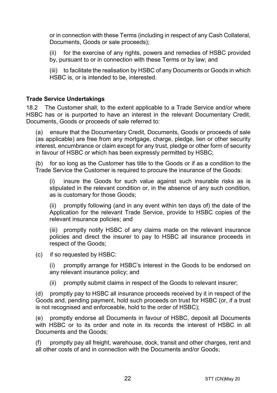or in connection with these Terms (including in respect of any Cash Collateral, Documents, Goods or sale proceeds);

(ii) for the exercise of any rights, powers and remedies of HSBC provided by, pursuant to or in connection with these Terms or by law; and

(iii) to facilitate the realisation by HSBC of any Documents or Goods in which HSBC is, or is intended to be, interested.

#### **Trade Service Undertakings**

18.2 The Customer shall, to the extent applicable to a Trade Service and/or where HSBC has or is purported to have an interest in the relevant Documentary Credit, Documents, Goods or proceeds of sale referred to:

(a) ensure that the Documentary Credit, Documents, Goods or proceeds of sale (as applicable) are free from any mortgage, charge, pledge, lien or other security interest, encumbrance or claim except for any trust, pledge or other form of security in favour of HSBC or which has been expressly permitted by HSBC;

(b) for so long as the Customer has title to the Goods or if as a condition to the Trade Service the Customer is required to procure the insurance of the Goods:

(i) insure the Goods for such value against such insurable risks as is stipulated in the relevant condition or, in the absence of any such condition, as is customary for those Goods;

(ii) promptly following (and in any event within ten days of) the date of the Application for the relevant Trade Service, provide to HSBC copies of the relevant insurance policies; and

(iii) promptly notify HSBC of any claims made on the relevant insurance policies and direct the insurer to pay to HSBC all insurance proceeds in respect of the Goods;

(c) if so requested by HSBC:

(i) promptly arrange for HSBC's interest in the Goods to be endorsed on any relevant insurance policy; and

(ii) promptly submit claims in respect of the Goods to relevant insurer;

(d) promptly pay to HSBC all insurance proceeds received by it in respect of the Goods and, pending payment, hold such proceeds on trust for HSBC (or, if a trust is not recognised and enforceable, hold to the order of HSBC);

(e) promptly endorse all Documents in favour of HSBC, deposit all Documents with HSBC or to its order and note in its records the interest of HSBC in all Documents and the Goods;

(f) promptly pay all freight, warehouse, dock, transit and other charges, rent and all other costs of and in connection with the Documents and/or Goods;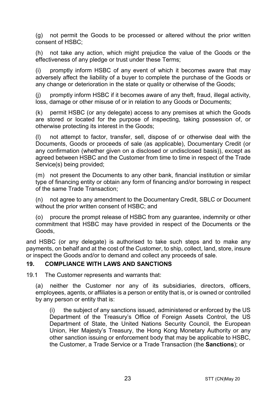(g) not permit the Goods to be processed or altered without the prior written consent of HSBC;

(h) not take any action, which might prejudice the value of the Goods or the effectiveness of any pledge or trust under these Terms;

(i) promptly inform HSBC of any event of which it becomes aware that may adversely affect the liability of a buyer to complete the purchase of the Goods or any change or deterioration in the state or quality or otherwise of the Goods;

(j) promptly inform HSBC if it becomes aware of any theft, fraud, illegal activity, loss, damage or other misuse of or in relation to any Goods or Documents;

(k) permit HSBC (or any delegate) access to any premises at which the Goods are stored or located for the purpose of inspecting, taking possession of, or otherwise protecting its interest in the Goods;

(l) not attempt to factor, transfer, sell, dispose of or otherwise deal with the Documents, Goods or proceeds of sale (as applicable), Documentary Credit (or any confirmation (whether given on a disclosed or undisclosed basis)), except as agreed between HSBC and the Customer from time to time in respect of the Trade Service(s) being provided;

(m) not present the Documents to any other bank, financial institution or similar type of financing entity or obtain any form of financing and/or borrowing in respect of the same Trade Transaction;

(n) not agree to any amendment to the Documentary Credit, SBLC or Document without the prior written consent of HSBC; and

(o) procure the prompt release of HSBC from any guarantee, indemnity or other commitment that HSBC may have provided in respect of the Documents or the Goods,

and HSBC (or any delegate) is authorised to take such steps and to make any payments, on behalf and at the cost of the Customer, to ship, collect, land, store, insure or inspect the Goods and/or to demand and collect any proceeds of sale.

#### <span id="page-22-0"></span>**19. COMPLIANCE WITH LAWS AND SANCTIONS**

19.1 The Customer represents and warrants that:

(a) neither the Customer nor any of its subsidiaries, directors, officers, employees, agents, or affiliates is a person or entity that is, or is owned or controlled by any person or entity that is:

(i) the subject of any sanctions issued, administered or enforced by the US Department of the Treasury's Office of Foreign Assets Control, the US Department of State, the United Nations Security Council, the European Union, Her Majesty's Treasury, the Hong Kong Monetary Authority or any other sanction issuing or enforcement body that may be applicable to HSBC, the Customer, a Trade Service or a Trade Transaction (the **Sanctions**); or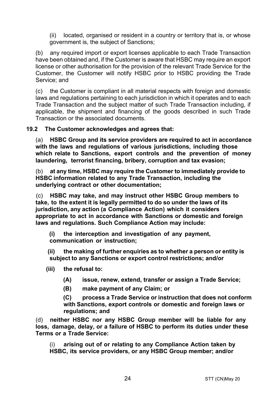(ii) located, organised or resident in a country or territory that is, or whose government is, the subject of Sanctions;

(b) any required import or export licenses applicable to each Trade Transaction have been obtained and, if the Customer is aware that HSBC may require an export license or other authorisation for the provision of the relevant Trade Service for the Customer, the Customer will notify HSBC prior to HSBC providing the Trade Service; and

(c) the Customer is compliant in all material respects with foreign and domestic laws and regulations pertaining to each jurisdiction in which it operates and to each Trade Transaction and the subject matter of such Trade Transaction including, if applicable, the shipment and financing of the goods described in such Trade Transaction or the associated documents.

#### **19.2 The Customer acknowledges and agrees that:**

(a) **HSBC Group and its service providers are required to act in accordance with the laws and regulations of various jurisdictions, including those which relate to Sanctions, export controls and the prevention of money laundering, terrorist financing, bribery, corruption and tax evasion;**

(b) **at any time, HSBC may require the Customer to immediately provide to HSBC information related to any Trade Transaction, including the underlying contract or other documentation;**

(c) **HSBC may take, and may instruct other HSBC Group members to take, to the extent it is legally permitted to do so under the laws of its jurisdiction, any action (a Compliance Action) which it considers appropriate to act in accordance with Sanctions or domestic and foreign laws and regulations. Such Compliance Action may include:**

**(i) the interception and investigation of any payment, communication or instruction;**

**(ii) the making of further enquiries as to whether a person or entity is subject to any Sanctions or export control restrictions; and/or**

- **(iii) the refusal to:**
	- **(A) issue, renew, extend, transfer or assign a Trade Service;**
	- **(B) make payment of any Claim; or**

**(C) process a Trade Service or instruction that does not conform with Sanctions, export controls or domestic and foreign laws or regulations; and**

(d) **neither HSBC nor any HSBC Group member will be liable for any loss, damage, delay, or a failure of HSBC to perform its duties under these Terms or a Trade Service:**

(i) **arising out of or relating to any Compliance Action taken by HSBC, its service providers, or any HSBC Group member; and/or**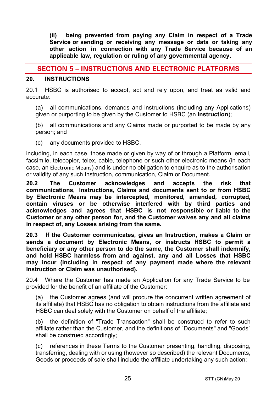**(ii) being prevented from paying any Claim in respect of a Trade Service or sending or receiving any message or data or taking any other action in connection with any Trade Service because of an applicable law, regulation or ruling of any governmental agency.**

# **SECTION 5 – INSTRUCTIONS AND ELECTRONIC PLATFORMS**

#### <span id="page-24-0"></span>**20. INSTRUCTIONS**

20.1 HSBC is authorised to accept, act and rely upon, and treat as valid and accurate:

(a) all communications, demands and instructions (including any Applications) given or purporting to be given by the Customer to HSBC (an **Instruction**);

(b) all communications and any Claims made or purported to be made by any person; and

(c) any documents provided to HSBC,

including, in each case, those made or given by way of or through a Platform, email, facsimile, telecopier, telex, cable, telephone or such other electronic means (in each case, an Electronic Means) and is under no obligation to enquire as to the authorisation or validity of any such Instruction, communication, Claim or Document.

**20.2 The Customer acknowledges and accepts the risk that communications, Instructions, Claims and documents sent to or from HSBC by Electronic Means may be intercepted, monitored, amended, corrupted, contain viruses or be otherwise interfered with by third parties and acknowledges and agrees that HSBC is not responsible or liable to the Customer or any other person for, and the Customer waives any and all claims in respect of, any Losses arising from the same.** 

**20.3 If the Customer communicates, gives an Instruction, makes a Claim or sends a document by Electronic Means, or instructs HSBC to permit a beneficiary or any other person to do the same, the Customer shall indemnify, and hold HSBC harmless from and against, any and all Losses that HSBC may incur (including in respect of any payment made where the relevant Instruction or Claim was unauthorised).** 

20.4 Where the Customer has made an Application for any Trade Service to be provided for the benefit of an affiliate of the Customer:

(a) the Customer agrees (and will procure the concurrent written agreement of its affiliate) that HSBC has no obligation to obtain instructions from the affiliate and HSBC can deal solely with the Customer on behalf of the affiliate;

(b) the definition of "Trade Transaction" shall be construed to refer to such affiliate rather than the Customer, and the definitions of "Documents" and "Goods" shall be construed accordingly;

(c) references in these Terms to the Customer presenting, handling, disposing, transferring, dealing with or using (however so described) the relevant Documents, Goods or proceeds of sale shall include the affiliate undertaking any such action;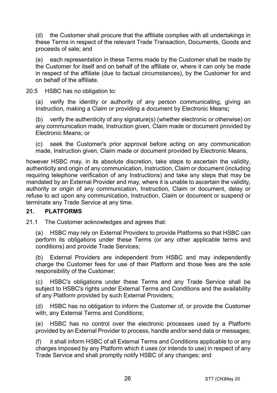(d) the Customer shall procure that the affiliate complies with all undertakings in these Terms in respect of the relevant Trade Transaction, Documents, Goods and proceeds of sale; and

(e) each representation in these Terms made by the Customer shall be made by the Customer for itself and on behalf of the affiliate or, where it can only be made in respect of the affiliate (due to factual circumstances), by the Customer for and on behalf of the affiliate.

20.5 HSBC has no obligation to:

(a) verify the identity or authority of any person communicating, giving an Instruction, making a Claim or providing a document by Electronic Means**;**

(b) verify the authenticity of any signature(s) (whether electronic or otherwise) on any communication made, Instruction given, Claim made or document provided by Electronic Means; or

(c) seek the Customer's prior approval before acting on any communication made, Instruction given, Claim made or document provided by Electronic Means,

however HSBC may, in its absolute discretion, take steps to ascertain the validity, authenticity and origin of any communication, Instruction, Claim or document (including requiring telephone verification of any Instructions) and take any steps that may be mandated by an External Provider and may, where it is unable to ascertain the validity, authority or origin of any communication, Instruction, Claim or document, delay or refuse to act upon any communication, Instruction, Claim or document or suspend or terminate any Trade Service at any time.

#### **21. PLATFORMS**

21.1 The Customer acknowledges and agrees that:

(a) HSBC may rely on External Providers to provide Platforms so that HSBC can perform its obligations under these Terms (or any other applicable terms and conditions) and provide Trade Services;

(b) External Providers are independent from HSBC and may independently charge the Customer fees for use of their Platform and those fees are the sole responsibility of the Customer;

(c) HSBC's obligations under these Terms and any Trade Service shall be subject to HSBC's rights under External Terms and Conditions and the availability of any Platform provided by such External Providers;

(d) HSBC has no obligation to inform the Customer of, or provide the Customer with, any External Terms and Conditions;

(e) HSBC has no control over the electronic processes used by a Platform provided by an External Provider to process, handle and/or send data or messages;

(f) it shall inform HSBC of all External Terms and Conditions applicable to or any charges imposed by any Platform which it uses (or intends to use) in respect of any Trade Service and shall promptly notify HSBC of any changes; and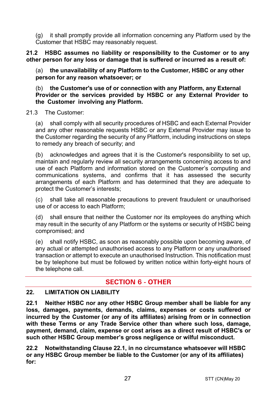(g) it shall promptly provide all information concerning any Platform used by the Customer that HSBC may reasonably request.

**21.2 HSBC assumes no liability or responsibility to the Customer or to any other person for any loss or damage that is suffered or incurred as a result of:** 

(a) **the unavailability of any Platform to the Customer, HSBC or any other person for any reason whatsoever; or**

(b) **the Customer's use of or connection with any Platform, any External Provider or the services provided by HSBC or any External Provider to the Customer involving any Platform.**

21.3 The Customer:

(a) shall comply with all security procedures of HSBC and each External Provider and any other reasonable requests HSBC or any External Provider may issue to the Customer regarding the security of any Platform, including instructions on steps to remedy any breach of security; and

(b) acknowledges and agrees that it is the Customer's responsibility to set up, maintain and regularly review all security arrangements concerning access to and use of each Platform and information stored on the Customer's computing and communications systems, and confirms that it has assessed the security arrangements of each Platform and has determined that they are adequate to protect the Customer's interests;

(c) shall take all reasonable precautions to prevent fraudulent or unauthorised use of or access to each Platform;

(d) shall ensure that neither the Customer nor its employees do anything which may result in the security of any Platform or the systems or security of HSBC being compromised; and

(e) shall notify HSBC, as soon as reasonably possible upon becoming aware, of any actual or attempted unauthorised access to any Platform or any unauthorised transaction or attempt to execute an unauthorised Instruction. This notification must be by telephone but must be followed by written notice within forty-eight hours of the telephone call.

# **SECTION 6 - OTHER**

#### **22. LIMITATION ON LIABILITY**

<span id="page-26-0"></span>**22.1 Neither HSBC nor any other HSBC Group member shall be liable for any loss, damages, payments, demands, claims, expenses or costs suffered or incurred by the Customer (or any of its affiliates) arising from or in connection with these Terms or any Trade Service other than where such loss, damage, payment, demand, claim, expense or cost arises as a direct result of HSBC's or such other HSBC Group member's gross negligence or wilful misconduct.** 

<span id="page-26-1"></span>**22.2 Notwithstanding Clause [22.1,](#page-26-0) in no circumstance whatsoever will HSBC or any HSBC Group member be liable to the Customer (or any of its affiliates) for:**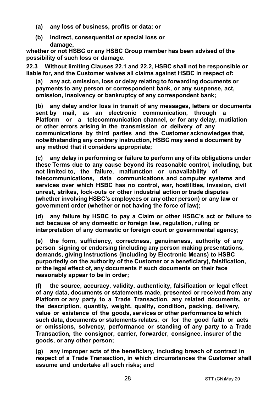- **(a) any loss of business, profits or data; or**
- **(b) indirect, consequential or special loss or damage,**

**whether or not HSBC or any HSBC Group member has been advised of the possibility of such loss or damage.** 

**22.3 Without limiting Clauses [22.1](#page-26-0) an[d 22.2,](#page-26-1) HSBC shall not be responsible or liable for, and the Customer waives all claims against HSBC in respect of:** 

**(a) any act, omission, loss or delay relating to forwarding documents or payments to any person or correspondent bank, or any suspense, act, omission, insolvency or bankruptcy of any correspondent bank;**

**(b) any delay and/or loss in transit of any messages, letters or documents sent by mail, as an electronic communication, through a Platform or a telecommunication channel, or for any delay, mutilation or other errors arising in the transmission or delivery of any communications by third parties and the Customer acknowledges that, notwithstanding any contrary instruction, HSBC may send a document by any method that it considers appropriate;**

**(c) any delay in performing or failure to perform any of its obligations under these Terms due to any cause beyond its reasonable control, including, but not limited to, the failure, malfunction or unavailability of telecommunications, data communications and computer systems and services over which HSBC has no control, war, hostilities, invasion, civil unrest, strikes, lock-outs or other industrial action or trade disputes (whether involving HSBC's employees or any other person) or any law or government order (whether or not having the force of law);**

**(d) any failure by HSBC to pay a Claim or other HSBC's act or failure to act because of any domestic or foreign law, regulation, ruling or interpretation of any domestic or foreign court or governmental agency;**

**(e) the form, sufficiency, correctness, genuineness, authority of any person signing or endorsing (including any person making presentations, demands, giving Instructions (including by Electronic Means) to HSBC purportedly on the authority of the Customer or a beneficiary), falsification, or the legal effect of, any documents if such documents on their face reasonably appear to be in order;**

**(f) the source, accuracy, validity, authenticity, falsification or legal effect of any data, documents or statements made, presented or received from any Platform or any party to a Trade Transaction, any related documents, or the description, quantity, weight, quality, condition, packing, delivery, value or existence of the goods, services or other performance to which such data, documents or statements relates, or for the good faith or acts or omissions, solvency, performance or standing of any party to a Trade Transaction, the consignor, carrier, forwarder, consignee, insurer of the goods, or any other person;**

**(g) any improper acts of the beneficiary, including breach of contract in respect of a Trade Transaction, in which circumstances the Customer shall assume and undertake all such risks; and**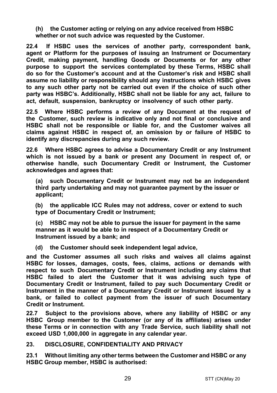**(h) the Customer acting or relying on any advice received from HSBC whether or not such advice was requested by the Customer.**

**22.4 If HSBC uses the services of another party, correspondent bank, agent or Platform for the purposes of issuing an Instrument or Documentary Credit, making payment, handling Goods or Documents or for any other purpose to support the services contemplated by these Terms, HSBC shall do so for the Customer's account and at the Customer's risk and HSBC shall assume no liability or responsibility should any instructions which HSBC gives to any such other party not be carried out even if the choice of such other party was HSBC's. Additionally, HSBC shall not be liable for any act, failure to act, default, suspension, bankruptcy or insolvency of such other party.** 

**22.5 Where HSBC performs a review of any Document at the request of the Customer, such review is indicative only and not final or conclusive and HSBC shall not be responsible or liable for, and the Customer waives all claims against HSBC in respect of, an omission by or failure of HSBC to identify any discrepancies during any such review.** 

**22.6 Where HSBC agrees to advise a Documentary Credit or any Instrument which is not issued by a bank or present any Document in respect of, or otherwise handle, such Documentary Credit or Instrument, the Customer acknowledges and agrees that:** 

**(a) such Documentary Credit or Instrument may not be an independent third party undertaking and may not guarantee payment by the issuer or applicant;**

**(b) the applicable ICC Rules may not address, cover or extend to such type of Documentary Credit or Instrument;**

**(c) HSBC may not be able to pursue the issuer for payment in the same manner as it would be able to in respect of a Documentary Credit or Instrument issued by a bank; and**

**(d) the Customer should seek independent legal advice,**

**and the Customer assumes all such risks and waives all claims against HSBC for losses, damages, costs, fees, claims, actions or demands with respect to such Documentary Credit or Instrument including any claims that HSBC failed to alert the Customer that it was advising such type of Documentary Credit or Instrument, failed to pay such Documentary Credit or Instrument in the manner of a Documentary Credit or Instrument issued by a bank, or failed to collect payment from the issuer of such Documentary Credit or Instrument.** 

**22.7 Subject to the provisions above, where any liability of HSBC or any HSBC Group member to the Customer (or any of its affiliates) arises under these Terms or in connection with any Trade Service, such liability shall not exceed USD 1,000,000 in aggregate in any calendar year.** 

<span id="page-28-0"></span>**23. DISCLOSURE, CONFIDENTIALITY AND PRIVACY**

**23.1 Without limiting any other terms between the Customer and HSBC or any HSBC Group member, HSBC is authorised:**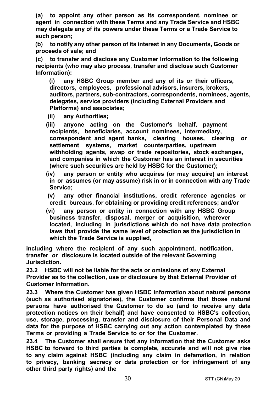**(a) to appoint any other person as its correspondent, nominee or agent in connection with these Terms and any Trade Service and HSBC may delegate any of its powers under these Terms or a Trade Service to such person;**

<span id="page-29-0"></span>**(b) to notify any other person of its interest in any Documents, Goods or proceeds of sale; and**

**(c) to transfer and disclose any Customer Information to the following recipients (who may also process, transfer and disclose such Customer Information):**

**(i) any HSBC Group member and any of its or their officers, directors, employees, professional advisors, insurers, brokers, auditors, partners, sub-contractors, correspondents, nominees, agents, delegates, service providers (including External Providers and Platforms) and associates;**

- **(ii) any Authorities;**
- **(iii) anyone acting on the Customer's behalf, payment recipients, beneficiaries, account nominees, intermediary, correspondent and agent banks, clearing houses, clearing or settlement systems, market counterparties, upstream withholding agents, swap or trade repositories, stock exchanges, and companies in which the Customer has an interest in securities (where such securities are held by HSBC for the Customer);**
- **(iv) any person or entity who acquires (or may acquire) an interest in or assumes (or may assume) risk in or in connection with any Trade Service;**
- **(v) any other financial institutions, credit reference agencies or credit bureaus, for obtaining or providing credit references; and/or**
- **(vi) any person or entity in connection with any HSBC Group business transfer, disposal, merger or acquisition, wherever located, including in jurisdictions which do not have data protection laws that provide the same level of protection as the jurisdiction in which the Trade Service is supplied,**

**including where the recipient of any such appointment, notification, transfer or disclosure is located outside of the relevant Governing Jurisdiction.** 

**23.2 HSBC will not be liable for the acts or omissions of any External Provider as to the collection, use or disclosure by that External Provider of Customer Information.** 

**23.3 Where the Customer has given HSBC information about natural persons (such as authorised signatories), the Customer confirms that those natural persons have authorised the Customer to do so (and to receive any data protection notices on their behalf) and have consented to HSBC's collection, use, storage, processing, transfer and disclosure of their Personal Data and data for the purpose of HSBC carrying out any action contemplated by these Terms or providing a Trade Service to or for the Customer.** 

**23.4 The Customer shall ensure that any information that the Customer asks HSBC to forward to third parties is complete, accurate and will not give rise to any claim against HSBC (including any claim in defamation, in relation to privacy, banking secrecy or data protection or for infringement of any other third party rights) and the**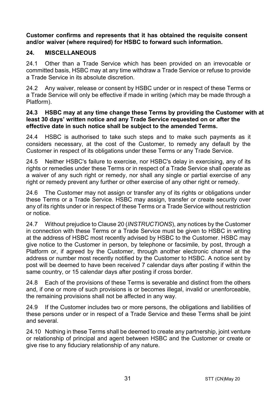**Customer confirms and represents that it has obtained the requisite consent and/or waiver (where required) for HSBC to forward such information.** 

#### **24. MISCELLANEOUS**

24.1 Other than a Trade Service which has been provided on an irrevocable or committed basis, HSBC may at any time withdraw a Trade Service or refuse to provide a Trade Service in its absolute discretion.

24.2 Any waiver, release or consent by HSBC under or in respect of these Terms or a Trade Service will only be effective if made in writing (which may be made through a Platform).

#### **24.3 HSBC may at any time change these Terms by providing the Customer with at least 30 days' written notice and any Trade Service requested on or after the effective date in such notice shall be subject to the amended Terms.**

24.4 HSBC is authorised to take such steps and to make such payments as it considers necessary, at the cost of the Customer, to remedy any default by the Customer in respect of its obligations under these Terms or any Trade Service.

24.5 Neither HSBC's failure to exercise, nor HSBC's delay in exercising, any of its rights or remedies under these Terms or in respect of a Trade Service shall operate as a waiver of any such right or remedy, nor shall any single or partial exercise of any right or remedy prevent any further or other exercise of any other right or remedy.

24.6 The Customer may not assign or transfer any of its rights or obligations under these Terms or a Trade Service. HSBC may assign, transfer or create security over any of its rights under or in respect of these Terms or a Trade Service without restriction or notice.

24.7 Without prejudice to Claus[e 20 \(](#page-24-0)*[INSTRUCTIONS](#page-24-0)*), any notices by the Customer in connection with these Terms or a Trade Service must be given to HSBC in writing at the address of HSBC most recently advised by HSBC to the Customer. HSBC may give notice to the Customer in person, by telephone or facsimile, by post, through a Platform or, if agreed by the Customer, through another electronic channel at the address or number most recently notified by the Customer to HSBC. A notice sent by post will be deemed to have been received 7 calendar days after posting if within the same country, or 15 calendar days after posting if cross border.

24.8 Each of the provisions of these Terms is severable and distinct from the others and, if one or more of such provisions is or becomes illegal, invalid or unenforceable, the remaining provisions shall not be affected in any way.

24.9 If the Customer includes two or more persons, the obligations and liabilities of these persons under or in respect of a Trade Service and these Terms shall be joint and several.

24.10 Nothing in these Terms shall be deemed to create any partnership, joint venture or relationship of principal and agent between HSBC and the Customer or create or give rise to any fiduciary relationship of any nature.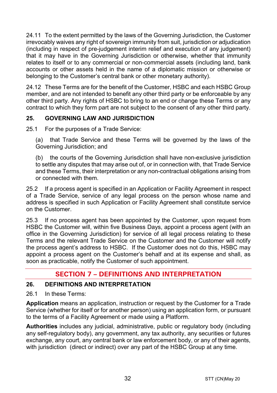24.11 To the extent permitted by the laws of the Governing Jurisdiction, the Customer irrevocably waives any right of sovereign immunity from suit, jurisdiction or adjudication (including in respect of pre-judgement interim relief and execution of any judgement) that it may have in the Governing Jurisdiction or otherwise, whether that immunity relates to itself or to any commercial or non-commercial assets (including land, bank accounts or other assets held in the name of a diplomatic mission or otherwise or belonging to the Customer's central bank or other monetary authority).

24.12 These Terms are for the benefit of the Customer, HSBC and each HSBC Group member, and are not intended to benefit any other third party or be enforceable by any other third party. Any rights of HSBC to bring to an end or change these Terms or any contract to which they form part are not subject to the consent of any other third party.

## **25. GOVERNING LAW AND JURISDICTION**

25.1 For the purposes of a Trade Service:

(a) that Trade Service and these Terms will be governed by the laws of the Governing Jurisdiction; and

(b) the courts of the Governing Jurisdiction shall have non-exclusive jurisdiction to settle any disputes that may arise out of, or in connection with, that Trade Service and these Terms, their interpretation or any non-contractual obligations arising from or connected with them.

25.2 If a process agent is specified in an Application or Facility Agreement in respect of a Trade Service, service of any legal process on the person whose name and address is specified in such Application or Facility Agreement shall constitute service on the Customer.

25.3 If no process agent has been appointed by the Customer, upon request from HSBC the Customer will, within five Business Days, appoint a process agent (with an office in the Governing Jurisdiction) for service of all legal process relating to these Terms and the relevant Trade Service on the Customer and the Customer will notify the process agent's address to HSBC. If the Customer does not do this, HSBC may appoint a process agent on the Customer's behalf and at its expense and shall, as soon as practicable, notify the Customer of such appointment.

# **SECTION 7 – DEFINITIONS AND INTERPRETATION**

#### **26. DEFINITIONS AND INTERPRETATION**

26.1 In these Terms:

**Application** means an application, instruction or request by the Customer for a Trade Service (whether for itself or for another person) using an application form, or pursuant to the terms of a Facility Agreement or made using a Platform.

**Authorities** includes any judicial, administrative, public or regulatory body (including any self-regulatory body), any government, any tax authority, any securities or futures exchange, any court, any central bank or law enforcement body, or any of their agents, with jurisdiction (direct or indirect) over any part of the HSBC Group at any time.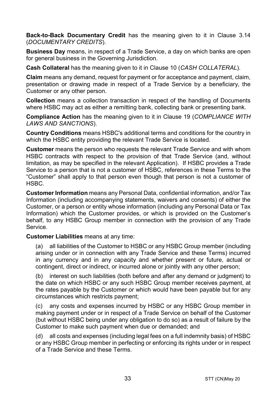**Back-to-Back Documentary Credit** has the meaning given to it in Clause [3.14](#page-5-0) (*[DOCUMENTARY CREDITS](#page-3-0)*).

**Business Day** means, in respect of a Trade Service, a day on which banks are open for general business in the Governing Jurisdiction.

**Cash Collateral** has the meaning given to it in Clause [10](#page-14-1) (*[CASH COLLATERAL](#page-14-1)*).

**Claim** means any demand, request for payment or for acceptance and payment, claim, presentation or drawing made in respect of a Trade Service by a beneficiary, the Customer or any other person.

**Collection** means a collection transaction in respect of the handling of Documents where HSBC may act as either a remitting bank, collecting bank or presenting bank.

**Compliance Action** has the meaning given to it in Clause [19](#page-22-0) (*[COMPLIANCE WITH](#page-22-0)  [LAWS AND SANCTIONS](#page-22-0)*).

**Country Conditions** means HSBC's additional terms and conditions for the country in which the HSBC entity providing the relevant Trade Service is located.

**Customer** means the person who requests the relevant Trade Service and with whom HSBC contracts with respect to the provision of that Trade Service (and, without limitation, as may be specified in the relevant Application). If HSBC provides a Trade Service to a person that is not a customer of HSBC, references in these Terms to the "Customer" shall apply to that person even though that person is not a customer of HSBC.

**Customer Information** means any Personal Data, confidential information, and/or Tax Information (including accompanying statements, waivers and consents) of either the Customer, or a person or entity whose information (including any Personal Data or Tax Information) which the Customer provides, or which is provided on the Customer's behalf, to any HSBC Group member in connection with the provision of any Trade Service.

**Customer Liabilities** means at any time:

(a) all liabilities of the Customer to HSBC or any HSBC Group member (including arising under or in connection with any Trade Service and these Terms) incurred in any currency and in any capacity and whether present or future, actual or contingent, direct or indirect, or incurred alone or jointly with any other person;

(b) interest on such liabilities (both before and after any demand or judgment) to the date on which HSBC or any such HSBC Group member receives payment, at the rates payable by the Customer or which would have been payable but for any circumstances which restricts payment;

(c) any costs and expenses incurred by HSBC or any HSBC Group member in making payment under or in respect of a Trade Service on behalf of the Customer (but without HSBC being under any obligation to do so) as a result of failure by the Customer to make such payment when due or demanded; and

(d) all costs and expenses (including legal fees on a full indemnity basis) of HSBC or any HSBC Group member in perfecting or enforcing its rights under or in respect of a Trade Service and these Terms.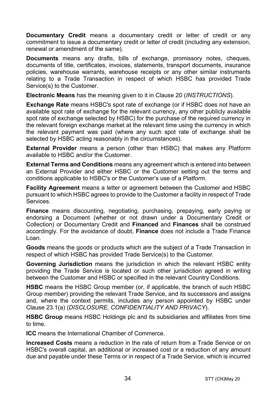**Documentary Credit** means a documentary credit or letter of credit or any commitment to issue a documentary credit or letter of credit (including any extension. renewal or amendment of the same).

**Documents** means any drafts, bills of exchange, promissory notes, cheques, documents of title, certificates, invoices, statements, transport documents, insurance policies, warehouse warrants, warehouse receipts or any other similar instruments relating to a Trade Transaction in respect of which HSBC has provided Trade Service(s) to the Customer.

**Electronic Means** has the meaning given to it in Clause [20 \(](#page-24-0)*[INSTRUCTIONS](#page-24-0)*).

**Exchange Rate** means HSBC's spot rate of exchange (or if HSBC does not have an available spot rate of exchange for the relevant currency, any other publicly available spot rate of exchange selected by HSBC) for the purchase of the required currency in the relevant foreign exchange market at the relevant time using the currency in which the relevant payment was paid (where any such spot rate of exchange shall be selected by HSBC acting reasonably in the circumstances).

**External Provider** means a person (other than HSBC) that makes any Platform available to HSBC and/or the Customer.

**External Terms and Conditions** means any agreement which is entered into between an External Provider and either HSBC or the Customer setting out the terms and conditions applicable to HSBC's or the Customer's use of a Platform.

**Facility Agreement** means a letter or agreement between the Customer and HSBC pursuant to which HSBC agrees to provide to the Customer a facility in respect of Trade Services.

**Finance** means discounting, negotiating, purchasing, prepaying, early paying or endorsing a Document (whether or not drawn under a Documentary Credit or Collection) or Documentary Credit and **Financed** and **Finances** shall be construed accordingly. For the avoidance of doubt, **Finance** does not include a Trade Finance Loan.

**Goods** means the goods or products which are the subject of a Trade Transaction in respect of which HSBC has provided Trade Service(s) to the Customer.

**Governing Jurisdiction** means the jurisdiction in which the relevant HSBC entity providing the Trade Service is located or such other jurisdiction agreed in writing between the Customer and HSBC or specified in the relevant Country Conditions.

**HSBC** means the HSBC Group member (or, if applicable, the branch of such HSBC Group member) providing the relevant Trade Service, and its successors and assigns and, where the context permits, includes any person appointed by HSBC under Clause [23.1\(a\)](#page-29-0) (*[DISCLOSURE, CONFIDENTIALITY AND PRIVACY](#page-28-0)*).

**HSBC Group** means HSBC Holdings plc and its subsidiaries and affiliates from time to time.

**ICC** means the International Chamber of Commerce.

**Increased Costs** means a reduction in the rate of return from a Trade Service or on HSBC's overall capital, an additional or increased cost or a reduction of any amount due and payable under these Terms or in respect of a Trade Service, which is incurred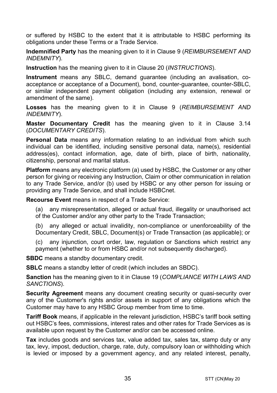or suffered by HSBC to the extent that it is attributable to HSBC performing its obligations under these Terms or a Trade Service.

**Indemnified Party** has the meaning given to it in Claus[e 9](#page-13-0) (*[REIMBURSEMENT AND](#page-13-0)  [INDEMNITY](#page-13-0)*).

**Instruction** has the meaning given to it in Clause [20](#page-24-0) (*[INSTRUCTIONS](#page-24-0)*).

**Instrument** means any SBLC, demand guarantee (including an avalisation, coacceptance or acceptance of a Document), bond, counter-guarantee, counter-SBLC, or similar independent payment obligation (including any extension, renewal or amendment of the same).

**Losses** has the meaning given to it in Clause [9](#page-13-0) (*[REIMBURSEMENT AND](#page-13-0)  [INDEMNITY](#page-13-0)*).

**Master Documentary Credit** has the meaning given to it in Clause [3.14](#page-5-0) (*[DOCUMENTARY CREDITS](#page-3-0)*).

**Personal Data** means any information relating to an individual from which such individual can be identified, including sensitive personal data, name(s), residential address(es), contact information, age, date of birth, place of birth, nationality, citizenship, personal and marital status.

**Platform** means any electronic platform (a) used by HSBC, the Customer or any other person for giving or receiving any Instruction, Claim or other communication in relation to any Trade Service, and/or (b) used by HSBC or any other person for issuing or providing any Trade Service, and shall include HSBCnet.

**Recourse Event** means in respect of a Trade Service:

(a) any misrepresentation, alleged or actual fraud, illegality or unauthorised act of the Customer and/or any other party to the Trade Transaction;

(b) any alleged or actual invalidity, non-compliance or unenforceability of the Documentary Credit, SBLC, Document(s) or Trade Transaction (as applicable); or

(c) any injunction, court order, law, regulation or Sanctions which restrict any payment (whether to or from HSBC and/or not subsequently discharged).

**SBDC** means a standby documentary credit.

**SBLC** means a standby letter of credit (which includes an SBDC).

**Sanction** has the meaning given to it in Clause [19](#page-22-0) (*[COMPLIANCE WITH LAWS AND](#page-22-0)  [SANCTIONS](#page-22-0)*).

**Security Agreement** means any document creating security or quasi-security over any of the Customer's rights and/or assets in support of any obligations which the Customer may have to any HSBC Group member from time to time.

**Tariff Book** means, if applicable in the relevant jurisdiction, HSBC's tariff book setting out HSBC's fees, commissions, interest rates and other rates for Trade Services as is available upon request by the Customer and/or can be accessed online.

**Tax** includes goods and services tax, value added tax, sales tax, stamp duty or any tax, levy, impost, deduction, charge, rate, duty, compulsory loan or withholding which is levied or imposed by a government agency, and any related interest, penalty,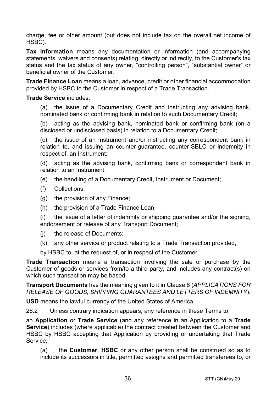charge, fee or other amount (but does not include tax on the overall net income of HSBC).

**Tax Information** means any documentation or information (and accompanying statements, waivers and consents) relating, directly or indirectly, to the Customer's tax status and the tax status of any owner, "controlling person", "substantial owner" or beneficial owner of the Customer.

**Trade Finance Loan** means a loan, advance, credit or other financial accommodation provided by HSBC to the Customer in respect of a Trade Transaction.

#### **Trade Service** includes:

(a) the issue of a Documentary Credit and instructing any advising bank, nominated bank or confirming bank in relation to such Documentary Credit;

(b) acting as the advising bank, nominated bank or confirming bank (on a disclosed or undisclosed basis) in relation to a Documentary Credit;

(c) the issue of an Instrument and/or instructing any correspondent bank in relation to, and issuing an counter-guarantee, counter-SBLC or indemnity in respect of, an Instrument;

(d) acting as the advising bank, confirming bank or correspondent bank in relation to an Instrument;

- (e) the handling of a Documentary Credit, Instrument or Document;
- (f) Collections;
- (g) the provision of any Finance;
- (h) the provision of a Trade Finance Loan;

(i) the issue of a letter of indemnity or shipping guarantee and/or the signing, endorsement or release of any Transport Document;

- (j) the release of Documents;
- (k) any other service or product relating to a Trade Transaction provided,

by HSBC to, at the request of, or in respect of the Customer.

**Trade Transaction** means a transaction involving the sale or purchase by the Customer of goods or services from/to a third party, and includes any contract(s) on which such transaction may be based.

**Transport Documents** has the meaning given to it in Clause [8](#page-12-0) (*[APPLICATIONS FOR](#page-12-0)  [RELEASE OF GOODS, SHIPPING GUARANTEES AND](#page-12-0) LETTERS OF INDEMNITY*).

**USD** means the lawful currency of the United States of America.

26.2 Unless contrary indication appears, any reference in these Terms to:

an **Application** or **Trade Service** (and any reference in an Application to a **Trade Service**) includes (where applicable) the contract created between the Customer and HSBC by HSBC accepting that Application by providing or undertaking that Trade Service;

(a) the **Customer**, **HSBC** or any other person shall be construed so as to include its successors in title, permitted assigns and permitted transferees to, or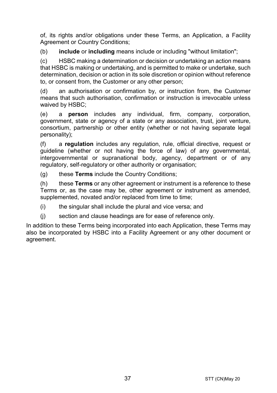of, its rights and/or obligations under these Terms, an Application, a Facility Agreement or Country Conditions:

(b) **include** or **including** means include or including "without limitation";

(c) HSBC making a determination or decision or undertaking an action means that HSBC is making or undertaking, and is permitted to make or undertake, such determination, decision or action in its sole discretion or opinion without reference to, or consent from, the Customer or any other person;

(d) an authorisation or confirmation by, or instruction from, the Customer means that such authorisation, confirmation or instruction is irrevocable unless waived by HSBC;

(e) a **person** includes any individual, firm, company, corporation, government, state or agency of a state or any association, trust, joint venture, consortium, partnership or other entity (whether or not having separate legal personality);

(f) a **regulation** includes any regulation, rule, official directive, request or guideline (whether or not having the force of law) of any governmental, intergovernmental or supranational body, agency, department or of any regulatory, self-regulatory or other authority or organisation;

(g) these **Terms** include the Country Conditions;

(h) these **Terms** or any other agreement or instrument is a reference to these Terms or, as the case may be, other agreement or instrument as amended, supplemented, novated and/or replaced from time to time;

(i) the singular shall include the plural and vice versa; and

(j) section and clause headings are for ease of reference only.

In addition to these Terms being incorporated into each Application, these Terms may also be incorporated by HSBC into a Facility Agreement or any other document or agreement.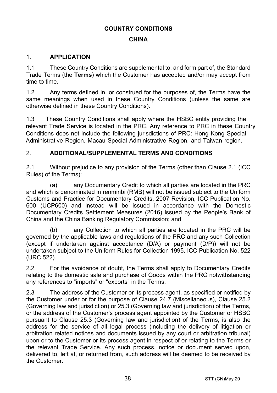#### **COUNTRY CONDITIONS**

#### **CHINA**

#### 1. **APPLICATION**

1.1 These Country Conditions are supplemental to, and form part of, the Standard Trade Terms (the **Terms**) which the Customer has accepted and/or may accept from time to time.

1.2 Any terms defined in, or construed for the purposes of, the Terms have the same meanings when used in these Country Conditions (unless the same are otherwise defined in these Country Conditions).

 These Country Conditions shall apply where the HSBC entity providing the 1.3 relevant Trade Service is located in the PRC. Any reference to PRC in these Country Conditions does not include the following jurisdictions of PRC: Hong Kong Special Administrative Region, Macau Special Administrative Region, and Taiwan region.

#### 2. **ADDITIONAL/SUPPLEMENTAL TERMS AND CONDITIONS**

2.1 Without prejudice to any provision of the Terms (other than Clause 2.1 (ICC Rules) of the Terms):

(a) any Documentary Credit to which all parties are located in the PRC and which is denominated in renminbi (RMB) will not be issued subject to the Uniform Customs and Practice for Documentary Credits, 2007 Revision, ICC Publication No. 600 (UCP600) and instead will be issued in accordance with the Domestic Documentary Credits Settlement Measures (2016) issued by the People's Bank of China and the China Banking Regulatory Commission; and

(b) any Collection to which all parties are located in the PRC will be governed by the applicable laws and regulations of the PRC and any such Collection (except if undertaken against acceptance (D/A) or payment (D/P)) will not be undertaken subject to the Uniform Rules for Collection 1995, ICC Publication No. 522 (URC 522).

2.2 For the avoidance of doubt, the Terms shall apply to Documentary Credits relating to the domestic sale and purchase of Goods within the PRC notwithstanding any references to "imports" or "exports" in the Terms.

2.3 The address of the Customer or its process agent, as specified or notified by the Customer under or for the purpose of Clause 24.7 (Miscellaneous), Clause 25.2 (Governing law and jurisdiction) or 25.3 (Governing law and jurisdiction) of the Terms, or the address of the Customer's process agent appointed by the Customer or HSBC pursuant to Clause 25.3 (Governing law and jurisdiction) of the Terms, is also the address for the service of all legal process (including the delivery of litigation or arbitration related notices and documents issued by any court or arbitration tribunal) upon or to the Customer or its process agent in respect of or relating to the Terms or the relevant Trade Service. Any such process, notice or document served upon, delivered to, left at, or returned from, such address will be deemed to be received by the Customer.